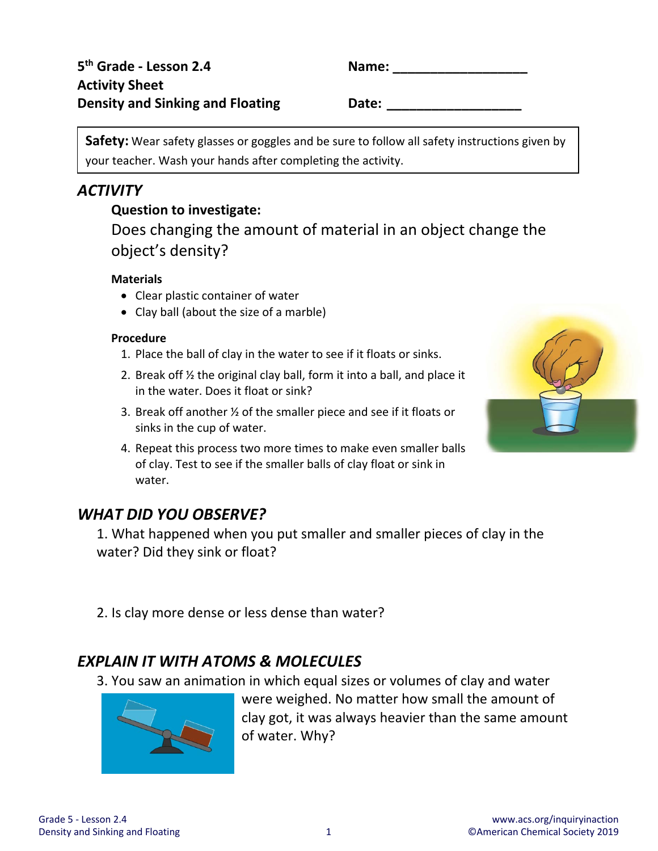**5<sup>th</sup> Grade - Lesson 2.4 Name:** \_\_\_\_\_\_\_\_\_\_\_\_\_ **Activity Sheet Density and Sinking and Floating The Contract Bate:** Letting and  $\mathbf{D}$ 

Safety: Wear safety glasses or goggles and be sure to follow all safety instructions given by your teacher. Wash your hands after completing the activity.

## *ACTIVITY*

### **Question to investigate:**

Does changing the amount of material in an object change the object's density?

#### **Materials**

- Clear plastic container of water
- Clay ball (about the size of a marble)

#### **Procedure**

- 1. Place the ball of clay in the water to see if it floats or sinks.
- 2. Break off ½ the original clay ball, form it into a ball, and place it in the water. Does it float or sink?
- 3. Break off another ½ of the smaller piece and see if it floats or sinks in the cup of water.
- 4. Repeat this process two more times to make even smaller balls of clay. Test to see if the smaller balls of clay float or sink in water.

## *WHAT DID YOU OBSERVE?*

1. What happened when you put smaller and smaller pieces of clay in the water? Did they sink or float?

2. Is clay more dense or less dense than water?

# *EXPLAIN IT WITH ATOMS & MOLECULES*

3. You saw an animation in which equal sizes or volumes of clay and water



were weighed. No matter how small the amount of clay got, it was always heavier than the same amount of water. Why?